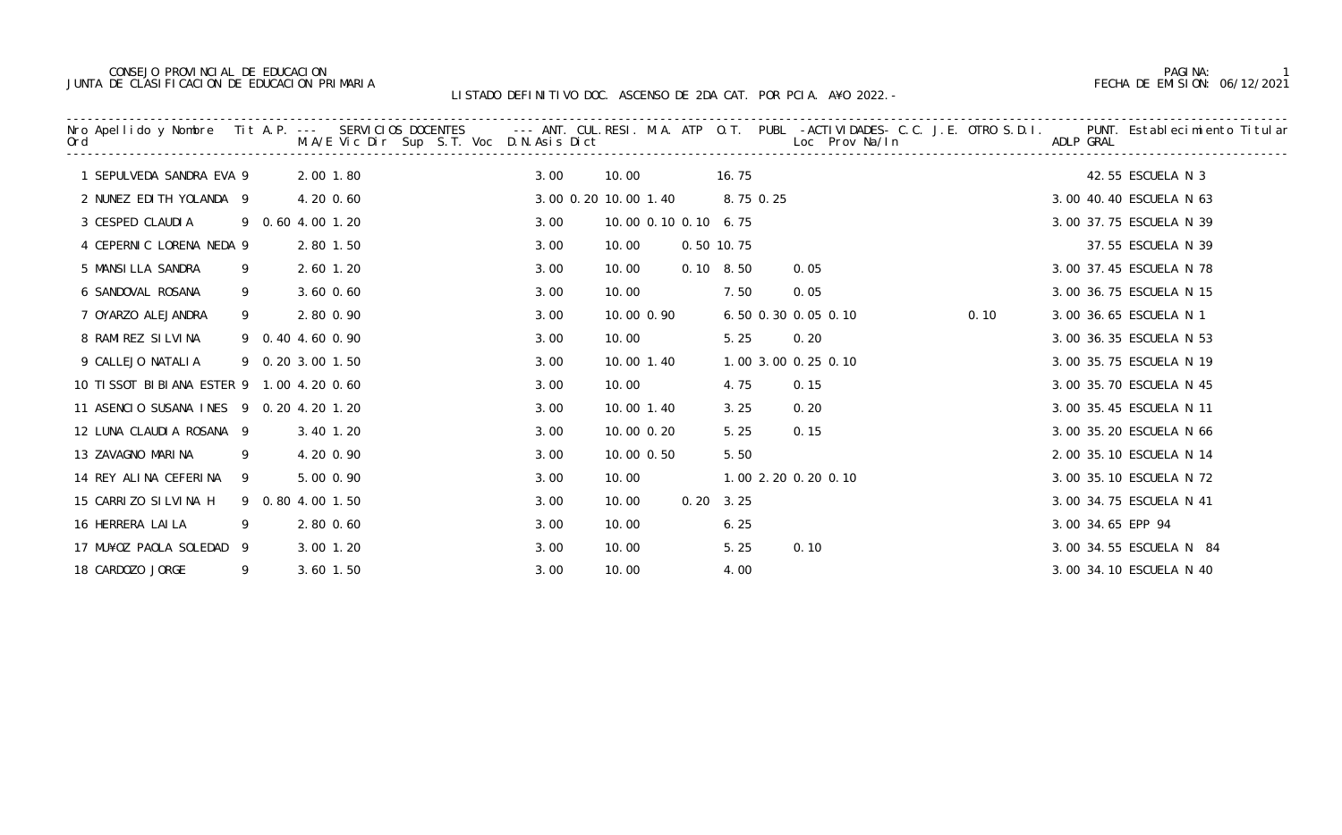# CONSEJO PROVINCIAL DE EDUCACION PAGINA: 1 JUNTA DE CLASIFICACION DE EDUCACION PRIMARIA FECHA DE EMISION: 06/12/2021

|                                          |                  |               | Nro Apellido y Nombre Tit A.P. --- SERVICIOS DOCENTES --- ANT. CUL.RESI. M.A. ATP O.T. PUBL -ACTIVIDADES- C.C. J.E. OTRO S.D.I. PUNT. Establecimiento Titular<br>Ord                 M.A/E Vic Dir Sup S.T. Voc D.N.Asis Dict |      |                      |      |                   | Loc Prov Na/In      |      |                   |                         |
|------------------------------------------|------------------|---------------|-------------------------------------------------------------------------------------------------------------------------------------------------------------------------------------------------------------------------------|------|----------------------|------|-------------------|---------------------|------|-------------------|-------------------------|
| 1 SEPULVEDA SANDRA EVA 9                 |                  | 2.00 1.80     |                                                                                                                                                                                                                               | 3.00 | 10.00                |      | 16.75             |                     |      |                   | 42.55 ESCUELA N 3       |
| 2 NUNEZ EDITH YOLANDA 9                  |                  | 4.20 0.60     |                                                                                                                                                                                                                               |      | 3.00 0.20 10.00 1.40 |      | 8.75 0.25         |                     |      |                   | 3.00 40.40 ESCUELA N 63 |
| 3 CESPED CLAUDIA                         | 9 0.60 4.00 1.20 |               |                                                                                                                                                                                                                               | 3.00 | 10.00 0.10 0.10 6.75 |      |                   |                     |      |                   | 3.00 37.75 ESCUELA N 39 |
| 4 CEPERNIC LORENA NEDA 9                 |                  | 2.80 1.50     |                                                                                                                                                                                                                               | 3.00 | 10.00                |      | 0.50 10.75        |                     |      |                   | 37.55 ESCUELA N 39      |
| 5 MANSILLA SANDRA                        | 9                | 2.60 1.20     |                                                                                                                                                                                                                               | 3.00 | 10.00                |      | $0.10 \quad 8.50$ | 0.05                |      |                   | 3.00 37.45 ESCUELA N 78 |
| 6 SANDOVAL ROSANA                        | 9                | $3.60$ $0.60$ |                                                                                                                                                                                                                               | 3.00 | 10.00                |      | 7.50              | 0.05                |      |                   | 3.00 36.75 ESCUELA N 15 |
| 7 OYARZO ALEJANDRA                       | 9                | 2.80 0.90     |                                                                                                                                                                                                                               | 3.00 | 10.00 0.90           |      |                   | 6.50 0.30 0.05 0.10 | 0.10 |                   | 3.00 36.65 ESCUELA N 1  |
| 8 RAMIREZ SILVINA                        | 9 0.40 4.60 0.90 |               |                                                                                                                                                                                                                               | 3.00 | 10.00                |      | 5.25 0.20         |                     |      |                   | 3.00 36.35 ESCUELA N 53 |
| 9 CALLEJO NATALIA                        | 9 0.20 3.00 1.50 |               |                                                                                                                                                                                                                               | 3.00 | 10.00 1.40           |      |                   | 1.00 3.00 0.25 0.10 |      |                   | 3.00 35.75 ESCUELA N 19 |
| 10 TISSOT BIBIANA ESTER 9 1.00 4.20 0.60 |                  |               |                                                                                                                                                                                                                               | 3.00 | 10.00                |      | 4.75              | 0.15                |      |                   | 3.00 35.70 ESCUELA N 45 |
| 11 ASENCIO SUSANA INES 9 0.20 4.20 1.20  |                  |               |                                                                                                                                                                                                                               | 3.00 | 10.00 1.40           |      | 3.25              | 0.20                |      |                   | 3.00 35.45 ESCUELA N 11 |
| 12 LUNA CLAUDIA ROSANA 9                 |                  | 3.40 1.20     |                                                                                                                                                                                                                               | 3.00 | 10.00 0.20           |      | 5.25              | 0.15                |      |                   | 3.00 35.20 ESCUELA N 66 |
| 13 ZAVAGNO MARINA                        | 9                | 4.20 0.90     |                                                                                                                                                                                                                               | 3.00 | 10.00 0.50           |      | 5.50              |                     |      |                   | 2.00 35.10 ESCUELA N 14 |
| 14 REY ALINA CEFERINA 9                  |                  | 5.00 0.90     |                                                                                                                                                                                                                               | 3.00 | 10.00                |      |                   | 1.00 2.20 0.20 0.10 |      |                   | 3.00 35.10 ESCUELA N 72 |
| 15 CARRIZO SILVINA H                     | 9 0.80 4.00 1.50 |               |                                                                                                                                                                                                                               | 3.00 | 10.00                | 0.20 | 3.25              |                     |      |                   | 3.00 34.75 ESCUELA N 41 |
| 16 HERRERA LAI LA                        | 9                | 2.80 0.60     |                                                                                                                                                                                                                               | 3.00 | 10.00                |      | 6.25              |                     |      | 3.00 34.65 EPP 94 |                         |
| 17 MU¥OZ PAOLA SOLEDAD 9                 |                  | 3.00 1.20     |                                                                                                                                                                                                                               | 3.00 | 10.00                |      | 5.25              | 0.10                |      |                   | 3.00 34.55 ESCUELA N 84 |
| 18 CARDOZO JORGE                         | 9                | 3.60 1.50     |                                                                                                                                                                                                                               | 3.00 | 10.00                |      | 4.00              |                     |      |                   | 3.00 34.10 ESCUELA N 40 |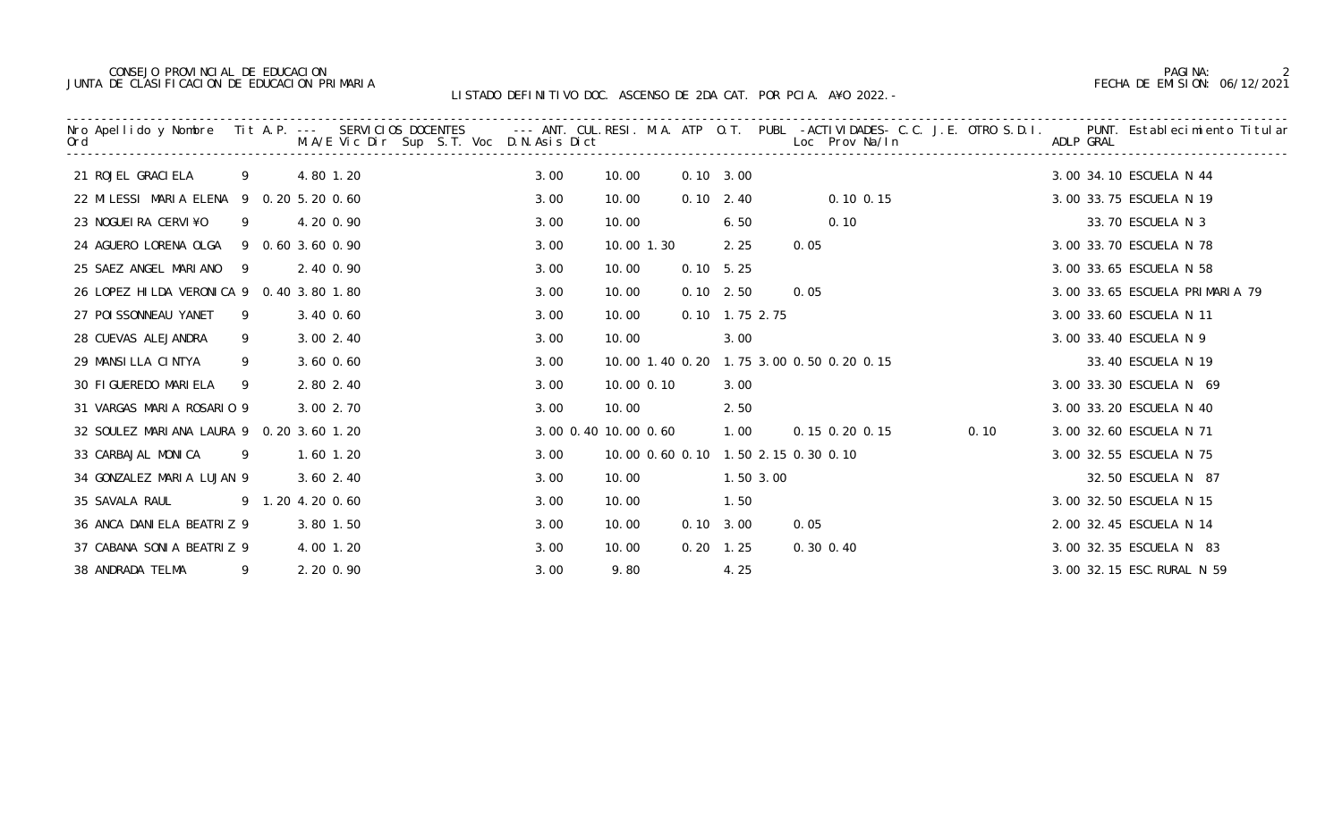### CONSEJO PROVINCIAL DE EDUCACION PAGINA: 2 JUNTA DE CLASIFICACION DE EDUCACION PRIMARIA FECHA DE EMISION: 06/12/2021

| Nro Apellido y Nombre Tit A.P. --- SERVICIOS DOCENTES   --- ANT. CUL.RESI. M.A. ATP O.T. PUBL -ACTIVIDADES- C.C. J.E. OTRO S.D.I.<br>Ord                  M.A/E Vic Dir Sup S.T. Voc D.N.Asis Dict                        Loc Pro |                |                  |      |                      |      |                   |                                          |      | ADLP GRAL | PUNT. Establecimiento Titular  |
|-----------------------------------------------------------------------------------------------------------------------------------------------------------------------------------------------------------------------------------|----------------|------------------|------|----------------------|------|-------------------|------------------------------------------|------|-----------|--------------------------------|
| 21 ROJEL GRACI ELA                                                                                                                                                                                                                | 9              | 4.80 1.20        | 3.00 | 10.00                |      | $0.10 \quad 3.00$ |                                          |      |           | 3.00 34.10 ESCUELA N 44        |
| 22 MILESSI MARIA ELENA 9 0.20 5.20 0.60                                                                                                                                                                                           |                |                  | 3.00 | 10.00                |      | $0.10 \quad 2.40$ | $0.10$ $0.15$                            |      |           | 3.00 33.75 ESCUELA N 19        |
| 23 NOGUEIRA CERVI¥O                                                                                                                                                                                                               | 9              | 4.20 0.90        | 3.00 | 10.00                |      | 6.50              | 0.10                                     |      |           | 33.70 ESCUELA N 3              |
| 24 AGUERO LORENA OLGA                                                                                                                                                                                                             |                | 9 0.60 3.60 0.90 | 3.00 | 10.00 1.30           |      | 2.25              | 0.05                                     |      |           | 3.00 33.70 ESCUELA N 78        |
| 25 SAEZ ANGEL MARIANO 9                                                                                                                                                                                                           |                | 2.40 0.90        | 3.00 | 10.00                |      | $0.10 \quad 5.25$ |                                          |      |           | 3.00 33.65 ESCUELA N 58        |
| 26 LOPEZ HILDA VERONICA 9 0.40 3.80 1.80                                                                                                                                                                                          |                |                  | 3.00 | 10.00                |      | $0.10$ 2.50       | 0.05                                     |      |           | 3.00 33.65 ESCUELA PRIMARIA 79 |
| 27 POI SSONNEAU YANET                                                                                                                                                                                                             | 9              | 3.40 0.60        | 3.00 | 10.00                |      | 0.10 1.75 2.75    |                                          |      |           | 3.00 33.60 ESCUELA N 11        |
| 28 CUEVAS ALEJANDRA                                                                                                                                                                                                               | 9              | $3.00$ $2.40$    | 3.00 | 10.00                |      | 3.00              |                                          |      |           | 3.00 33.40 ESCUELA N 9         |
| 29 MANSILLA CINTYA                                                                                                                                                                                                                | 9              | $3.60$ $0.60$    | 3.00 |                      |      |                   | 10.00 1.40 0.20 1.75 3.00 0.50 0.20 0.15 |      |           | 33.40 ESCUELA N 19             |
| 30 FIGUEREDO MARIELA                                                                                                                                                                                                              | 9              | 2.80 2.40        | 3.00 | 10.00 0.10           |      | 3.00              |                                          |      |           | 3.00 33.30 ESCUELA N 69        |
| 31 VARGAS MARIA ROSARIO 9                                                                                                                                                                                                         |                | 3.00 2.70        | 3.00 | 10.00                |      | 2.50              |                                          |      |           | 3.00 33.20 ESCUELA N 40        |
| 32 SOULEZ MARIANA LAURA 9 0.20 3.60 1.20                                                                                                                                                                                          |                |                  |      | 3.00 0.40 10.00 0.60 |      | 1.00              | 0.15 0.20 0.15                           | 0.10 |           | 3.00 32.60 ESCUELA N 71        |
| 33 CARBAJAL MONICA                                                                                                                                                                                                                | $\overline{9}$ | $1.60$ $1.20$    | 3.00 |                      |      |                   | 10.00 0.60 0.10 1.50 2.15 0.30 0.10      |      |           | 3.00 32.55 ESCUELA N 75        |
| 34 GONZALEZ MARIA LUJAN 9                                                                                                                                                                                                         |                | $3.60$ $2.40$    | 3.00 | 10.00                |      | 1.50 3.00         |                                          |      |           | 32.50 ESCUELA N 87             |
| 35 SAVALA RAUL                                                                                                                                                                                                                    |                | 9 1.20 4.20 0.60 | 3.00 | 10.00                |      | 1.50              |                                          |      |           | 3.00 32.50 ESCUELA N 15        |
| 36 ANCA DANIELA BEATRIZ 9                                                                                                                                                                                                         |                | 3.80 1.50        | 3.00 | 10.00                |      | $0.10 \quad 3.00$ | 0.05                                     |      |           | 2.00 32.45 ESCUELA N 14        |
| 37 CABANA SONIA BEATRIZ 9                                                                                                                                                                                                         |                | 4.00 1.20        | 3.00 | 10.00                | 0.20 | 1.25              | 0.30 0.40                                |      |           | 3.00 32.35 ESCUELA N 83        |
| 38 ANDRADA TELMA                                                                                                                                                                                                                  | 9              | 2.20 0.90        | 3.00 | 9.80                 |      | 4.25              |                                          |      |           | 3.00 32.15 ESC. RURAL N 59     |
|                                                                                                                                                                                                                                   |                |                  |      |                      |      |                   |                                          |      |           |                                |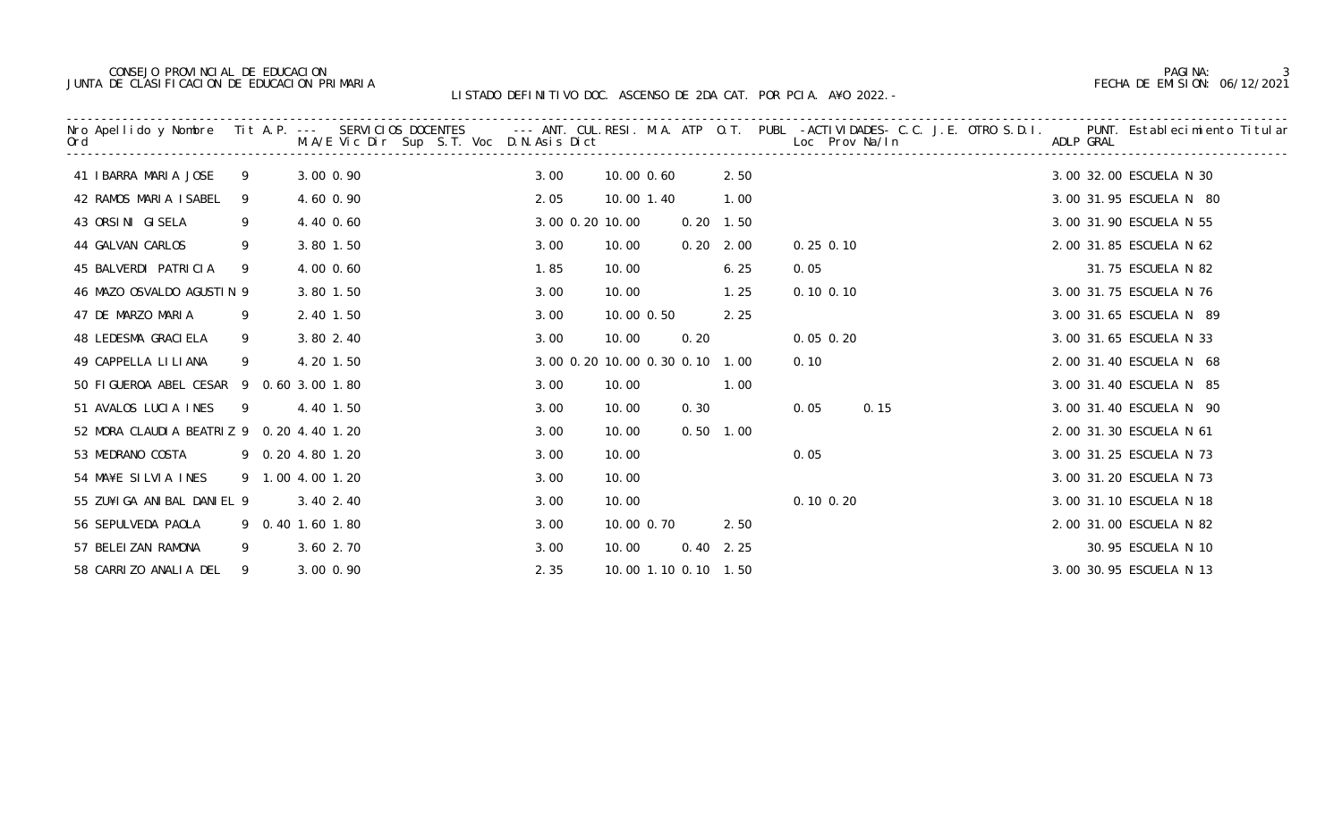# CONSEJO PROVINCIAL DE EDUCACION PAGINA: 3 JUNTA DE CLASIFICACION DE EDUCACION PRIMARIA FECHA DE EMISION: 06/12/2021

|                                          |    |                  |      |                 |      |                                |               | Nro Apellido y Nombre Tit A.P. --- SERVICIOS DOCENTES --- ANT. CUL.RESI. M.A. ATP O.T. PUBL -ACTIVIDADES- C.C. J.E. OTRO S.D.I. PUNT. Establecimiento Titular<br>Ord     M.A/E Vic Dir Sup S.T. Voc D.N.Asis Dict |                         |
|------------------------------------------|----|------------------|------|-----------------|------|--------------------------------|---------------|-------------------------------------------------------------------------------------------------------------------------------------------------------------------------------------------------------------------|-------------------------|
| 41 IBARRA MARIA JOSE                     | 9  | 3.00 0.90        | 3.00 | 10.00 0.60      |      | 2.50                           |               |                                                                                                                                                                                                                   | 3.00 32.00 ESCUELA N 30 |
| 42 RAMOS MARIA ISABEL                    | 9  | 4.60 0.90        | 2.05 | 10.00 1.40      |      | 1.00                           |               |                                                                                                                                                                                                                   | 3.00 31.95 ESCUELA N 80 |
| 43 ORSINI GISELA                         | 9  | 4.40 0.60        |      | 3.00 0.20 10.00 |      | $0.20$ 1.50                    |               |                                                                                                                                                                                                                   | 3.00 31.90 ESCUELA N 55 |
| 44 GALVAN CARLOS                         | 9  | 3.80 1.50        | 3.00 | 10.00           |      | $0.20$ $2.00$                  | $0.25$ 0.10   |                                                                                                                                                                                                                   | 2.00 31.85 ESCUELA N 62 |
| 45 BALVERDI PATRICIA                     | 9  | 4.00 0.60        | 1.85 | 10.00           |      | 6.25                           | 0.05          |                                                                                                                                                                                                                   | 31.75 ESCUELA N 82      |
| 46 MAZO OSVALDO AGUSTIN 9                |    | 3.80 1.50        | 3.00 | 10.00           |      | 1.25                           | $0.10$ $0.10$ |                                                                                                                                                                                                                   | 3.00 31.75 ESCUELA N 76 |
| 47 DE MARZO MARIA                        | 9  | 2.40 1.50        | 3.00 | 10.00 0.50      |      | 2.25                           |               |                                                                                                                                                                                                                   | 3.00 31.65 ESCUELA N 89 |
| 48 LEDESMA GRACI ELA                     | 9  | 3.80 2.40        | 3.00 | 10.00           | 0.20 |                                | $0.05$ $0.20$ |                                                                                                                                                                                                                   | 3.00 31.65 ESCUELA N 33 |
| 49 CAPPELLA LILIANA                      | 9  | 4.20 1.50        |      |                 |      | 3.00 0.20 10.00 0.30 0.10 1.00 | 0.10          |                                                                                                                                                                                                                   | 2.00 31.40 ESCUELA N 68 |
| 50 FIGUEROA ABEL CESAR 9 0.60 3.00 1.80  |    |                  | 3.00 | 10.00           |      | 1.00                           |               |                                                                                                                                                                                                                   | 3.00 31.40 ESCUELA N 85 |
| 51 AVALOS LUCIA INES                     |    | 9 4.40 1.50      | 3.00 | 10.00           | 0.30 |                                | 0.05          | 0.15                                                                                                                                                                                                              | 3.00 31.40 ESCUELA N 90 |
| 52 MORA CLAUDIA BEATRIZ 9 0.20 4.40 1.20 |    |                  | 3.00 | 10.00           |      | $0.50$ 1.00                    |               |                                                                                                                                                                                                                   | 2.00 31.30 ESCUELA N 61 |
| 53 MEDRANO COSTA                         |    | 9 0.20 4.80 1.20 | 3.00 | 10.00           |      |                                | 0.05          |                                                                                                                                                                                                                   | 3.00 31.25 ESCUELA N 73 |
| 54 MA¥E SILVIA INES                      |    | 9 1.00 4.00 1.20 | 3.00 | 10.00           |      |                                |               |                                                                                                                                                                                                                   | 3.00 31.20 ESCUELA N 73 |
| 55 ZU¥I GA ANI BAL DANI EL 9             |    | 3.40 2.40        | 3.00 | 10.00           |      |                                | $0.10$ $0.20$ |                                                                                                                                                                                                                   | 3.00 31.10 ESCUELA N 18 |
| 56 SEPULVEDA PAOLA                       |    | 9 0.40 1.60 1.80 | 3.00 | 10.00 0.70      |      | 2.50                           |               |                                                                                                                                                                                                                   | 2.00 31.00 ESCUELA N 82 |
| 57 BELEIZAN RAMONA                       | 9  | 3.60 2.70        | 3.00 | 10.00           |      | $0.40$ 2.25                    |               |                                                                                                                                                                                                                   | 30.95 ESCUELA N 10      |
| 58 CARRIZO ANALIA DEL                    | -9 | 3.00 0.90        | 2.35 |                 |      | 10.00 1.10 0.10 1.50           |               |                                                                                                                                                                                                                   | 3.00 30.95 ESCUELA N 13 |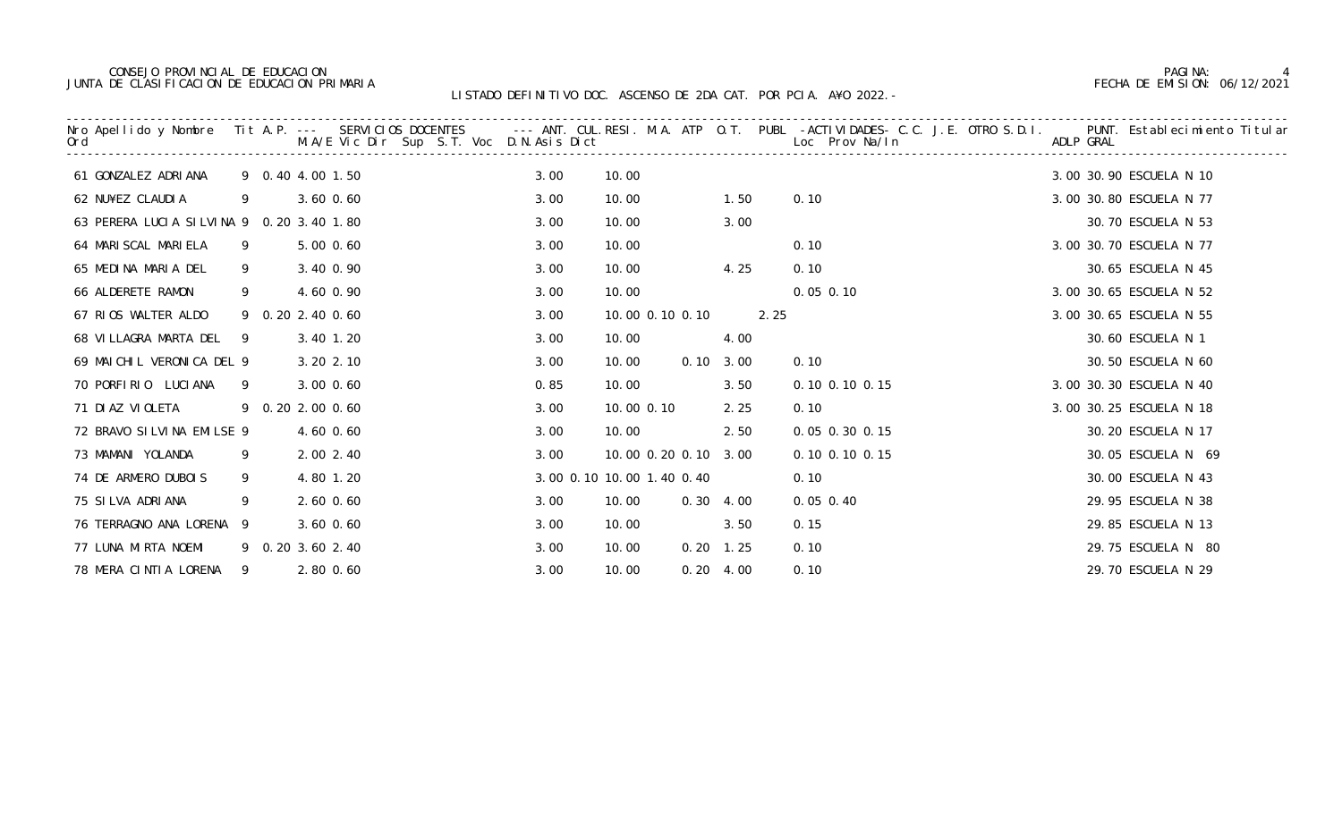### CONSEJO PROVINCIAL DE EDUCACION PAGINA: 4 JUNTA DE CLASIFICACION DE EDUCACION PRIMARIA FECHA DE EMISION: 06/12/2021

|                                          |    | . Nro Apellido y Nombre Tit A.P. --- SERVICIOS DOCENTES     --- ANT. CUL.RESI. M.A. ATP 0.T. PUBL -ACTIVIDADES- C.C. J.E. OTRO S.D.I.<br>Ord                                M.A/E Vic Dir Sup S.T. Voc D.N.Asis Dict |      |                           |                   |                      | PUNT. Establecimiento Titular<br>ADLP GRAL |
|------------------------------------------|----|----------------------------------------------------------------------------------------------------------------------------------------------------------------------------------------------------------------------|------|---------------------------|-------------------|----------------------|--------------------------------------------|
| 61 GONZALEZ ADRIANA                      |    | 9 0.40 4.00 1.50                                                                                                                                                                                                     | 3.00 | 10.00                     |                   |                      | 3.00 30.90 ESCUELA N 10                    |
| 62 NU¥EZ CLAUDIA                         | 9  | 3.60 0.60                                                                                                                                                                                                            | 3.00 | 10.00                     | 1.50              | 0.10                 | 3.00 30.80 ESCUELA N 77                    |
| 63 PERERA LUCIA SILVINA 9 0.20 3.40 1.80 |    |                                                                                                                                                                                                                      | 3.00 | 10.00                     | 3.00              |                      | 30.70 ESCUELA N 53                         |
| 64 MARI SCAL MARI ELA                    | 9  | 5.00 0.60                                                                                                                                                                                                            | 3.00 | 10.00                     |                   | 0.10                 | 3.00 30.70 ESCUELA N 77                    |
| 65 MEDINA MARIA DEL                      | 9  | 3.40 0.90                                                                                                                                                                                                            | 3.00 | 10.00                     | 4.25              | 0.10                 | 30.65 ESCUELA N 45                         |
| 66 ALDERETE RAMON                        | 9  | 4.60 0.90                                                                                                                                                                                                            | 3.00 | 10.00                     |                   | $0.05$ 0.10          | 3.00 30.65 ESCUELA N 52                    |
| 67 RIOS WALTER ALDO                      |    | 9 0.20 2.40 0.60                                                                                                                                                                                                     | 3.00 | 10.00 0.10 0.10           |                   | 2.25                 | 3.00 30.65 ESCUELA N 55                    |
| 68 VILLAGRA MARTA DEL                    | -9 | 3.40 1.20                                                                                                                                                                                                            | 3.00 | 10.00                     | 4.00              |                      | 30.60 ESCUELA N 1                          |
| 69 MAICHIL VERONICA DEL 9                |    | 3.20 2.10                                                                                                                                                                                                            | 3.00 | 10.00                     | $0.10 \quad 3.00$ | 0.10                 | 30.50 ESCUELA N 60                         |
| 70 PORFIRIO LUCIANA                      | 9  | 3.00 0.60                                                                                                                                                                                                            | 0.85 | 10.00                     | 3.50              | $0.10$ $0.10$ $0.15$ | 3.00 30.30 ESCUELA N 40                    |
| 71 DI AZ VI OLETA                        |    | 9 0.20 2.00 0.60                                                                                                                                                                                                     | 3.00 | 10.00 0.10                | 2.25              | 0.10                 | 3.00 30.25 ESCUELA N 18                    |
| 72 BRAVO SI LVI NA EMILSE 9              |    | 4.60 0.60                                                                                                                                                                                                            | 3.00 | 10.00                     | 2.50              | $0.05$ 0.30 0.15     | 30.20 ESCUELA N 17                         |
| 73 MAMANI YOLANDA                        | 9  | 2.00 2.40                                                                                                                                                                                                            | 3.00 | 10.00 0.20 0.10 3.00      |                   | $0.10$ $0.10$ $0.15$ | 30.05 ESCUELA N 69                         |
| 74 DE ARMERO DUBOIS                      | 9  | 4.80 1.20                                                                                                                                                                                                            |      | 3.00 0.10 10.00 1.40 0.40 |                   | 0.10                 | 30.00 ESCUELA N 43                         |
| 75 SILVA ADRIANA                         | 9  | $2.60$ 0.60                                                                                                                                                                                                          | 3.00 | 10.00                     | $0.30 \quad 4.00$ | $0.05$ 0.40          | 29.95 ESCUELA N 38                         |
| 76 TERRAGNO ANA LORENA 9                 |    | 3.60 0.60                                                                                                                                                                                                            | 3.00 | 10.00                     | 3.50              | 0.15                 | 29.85 ESCUELA N 13                         |
| 77 LUNA MIRTA NOEMI                      |    | 9 0.20 3.60 2.40                                                                                                                                                                                                     | 3.00 | 10.00                     | $0.20$ 1.25       | 0.10                 | 29.75 ESCUELA N 80                         |
| 78 MERA CINTIA LORENA                    | 9  | 2.80 0.60                                                                                                                                                                                                            | 3.00 | 10.00                     | $0.20 \quad 4.00$ | 0.10                 | 29.70 ESCUELA N 29                         |